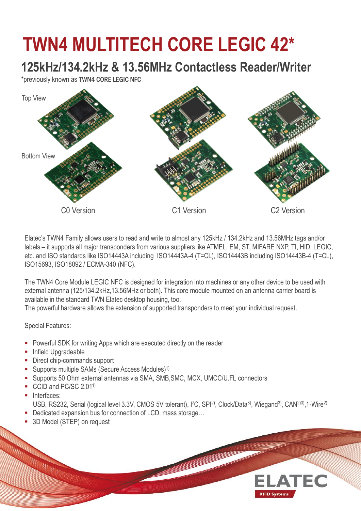## **TWN4 MULTITECH CORE LEGIC 42\***

## **125kHz/134.2kHz & 13.56MHz Contactless Reader/Writer**

\*previously known as TWN4 CORE LEGIC NFC



Elatec's TWN4 Family allows users to read and write to almost any 125kHz / 134.2kHz and 13.56MHz tags and/or labels – it supports all major transponders from various suppliers like ATMEL, EM, ST, MIFARE NXP, TI, HID, LEGIC, etc. and ISO standards like ISO14443A including ISO14443A-4 (T=CL), ISO14443B including ISO14443B-4 (T=CL), ISO15693, ISO18092 / ECMA-340 (NFC).

The TWN4 Core Module LEGIC NFC is designed for integration into machines or any other device to be used with external antenna (125/134.2kHz,13.56MHz or both). This core module mounted on an antenna carrier board is available in the standard TWN Elatec desktop housing, too.

The powerful hardware allows the extension of supported transponders to meet your individual request.

Special Features:

- **Powerful SDK for writing Apps which are executed directly on the reader**
- **Infield Upgradeable**
- Direct chip-commands support
- Supports multiple SAMs (Secure Access Modules)<sup>1)</sup>
- Supports 50 Ohm external antennas via SMA, SMB,SMC, MCX, UMCC/U.FL connectors
- CCID and PC/SC 2.01<sup>1)</sup>
- Interfaces:

USB, RS232, Serial (logical level 3.3V, CMOS 5V tolerant), I<sup>2</sup>C, SPI<sup>2)</sup>, Clock/Data<sup>3)</sup>, Wiegand<sup>3)</sup>, CAN<sup>2)3)</sup>, 1-Wire<sup>2)</sup>

**ELATEC** 

**RFID Systems** 

- Dedicated expansion bus for connection of LCD, mass storage...
- 3D Model (STEP) on request